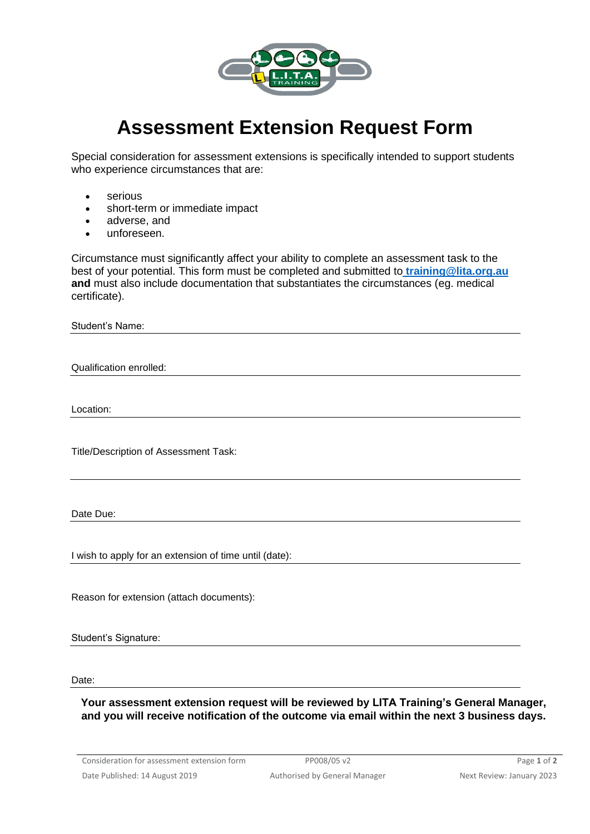

## **Assessment Extension Request Form**

Special consideration for assessment extensions is specifically intended to support students who experience circumstances that are:

- serious
- short-term or immediate impact
- adverse, and
- unforeseen.

Circumstance must significantly affect your ability to complete an assessment task to the best of your potential. This form must be completed and submitted to **[training@lita.org.au](mailto:lita@seol.org.au) and** must also include documentation that substantiates the circumstances (eg. medical certificate).

Student's Name:

Qualification enrolled:

Location:

Title/Description of Assessment Task:

Date Due:

I wish to apply for an extension of time until (date):

Reason for extension (attach documents):

Student's Signature:

Date:

**Your assessment extension request will be reviewed by LITA Training's General Manager, and you will receive notification of the outcome via email within the next 3 business days.**

Consideration for assessment extension form PP008/05 v2 Page 1 of 2